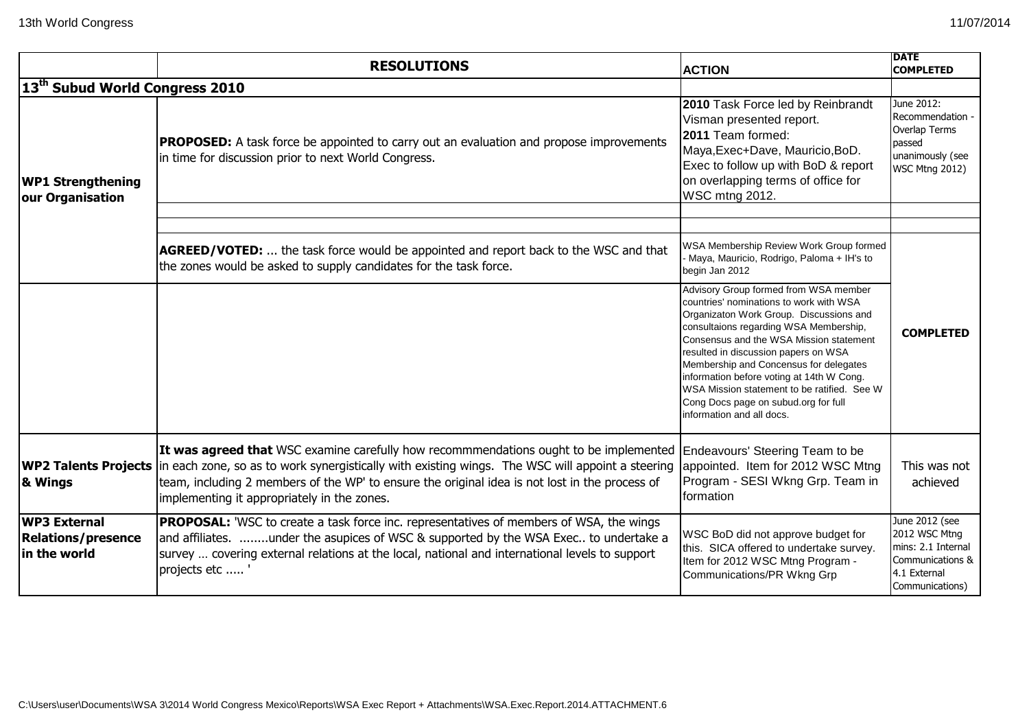|                                                                  | <b>RESOLUTIONS</b>                                                                                                                                                                                                                                                                                                                         | <b>ACTION</b>                                                                                                                                                                                                                                                                                                                                                                                                                                                       | <b>DATE</b><br><b>COMPLETED</b>                                                                              |
|------------------------------------------------------------------|--------------------------------------------------------------------------------------------------------------------------------------------------------------------------------------------------------------------------------------------------------------------------------------------------------------------------------------------|---------------------------------------------------------------------------------------------------------------------------------------------------------------------------------------------------------------------------------------------------------------------------------------------------------------------------------------------------------------------------------------------------------------------------------------------------------------------|--------------------------------------------------------------------------------------------------------------|
| 13 <sup>th</sup> Subud World Congress 2010                       |                                                                                                                                                                                                                                                                                                                                            |                                                                                                                                                                                                                                                                                                                                                                                                                                                                     |                                                                                                              |
| <b>WP1 Strengthening</b><br>our Organisation                     | <b>PROPOSED:</b> A task force be appointed to carry out an evaluation and propose improvements<br>in time for discussion prior to next World Congress.                                                                                                                                                                                     | 2010 Task Force led by Reinbrandt<br>Visman presented report.<br>2011 Team formed:<br>Maya, Exec+Dave, Mauricio, BoD.<br>Exec to follow up with BoD & report<br>on overlapping terms of office for<br><b>WSC mtng 2012.</b>                                                                                                                                                                                                                                         | June 2012:<br>Recommendation -<br>Overlap Terms<br>passed<br>unanimously (see<br><b>WSC Mtng 2012)</b>       |
|                                                                  |                                                                                                                                                                                                                                                                                                                                            |                                                                                                                                                                                                                                                                                                                                                                                                                                                                     |                                                                                                              |
|                                                                  | AGREED/VOTED:  the task force would be appointed and report back to the WSC and that<br>the zones would be asked to supply candidates for the task force.                                                                                                                                                                                  | WSA Membership Review Work Group formed<br>Maya, Mauricio, Rodrigo, Paloma + IH's to<br>begin Jan 2012                                                                                                                                                                                                                                                                                                                                                              |                                                                                                              |
|                                                                  |                                                                                                                                                                                                                                                                                                                                            | Advisory Group formed from WSA member<br>countries' nominations to work with WSA<br>Organizaton Work Group. Discussions and<br>consultaions regarding WSA Membership,<br>Consensus and the WSA Mission statement<br>resulted in discussion papers on WSA<br>Membership and Concensus for delegates<br>information before voting at 14th W Cong.<br>WSA Mission statement to be ratified. See W<br>Cong Docs page on subud.org for full<br>information and all docs. | <b>COMPLETED</b>                                                                                             |
| <b>WP2 Talents Projects</b><br>& Wings                           | It was agreed that WSC examine carefully how recommmendations ought to be implemented<br>In each zone, so as to work synergistically with existing wings. The WSC will appoint a steering<br>team, including 2 members of the WP' to ensure the original idea is not lost in the process of<br>implementing it appropriately in the zones. | Endeavours' Steering Team to be<br>appointed. Item for 2012 WSC Mtng<br>Program - SESI Wkng Grp. Team in<br>formation                                                                                                                                                                                                                                                                                                                                               | This was not<br>achieved                                                                                     |
| <b>WP3 External</b><br><b>Relations/presence</b><br>in the world | <b>PROPOSAL:</b> 'WSC to create a task force inc. representatives of members of WSA, the wings<br>and affiliates. under the asupices of WSC & supported by the WSA Exec to undertake a<br>survey  covering external relations at the local, national and international levels to support<br>projects etc                                   | WSC BoD did not approve budget for<br>this. SICA offered to undertake survey.<br>Item for 2012 WSC Mtng Program -<br>Communications/PR Wkng Grp                                                                                                                                                                                                                                                                                                                     | June 2012 (see<br>2012 WSC Mtng<br>mins: 2.1 Internal<br>Communications &<br>4.1 External<br>Communications) |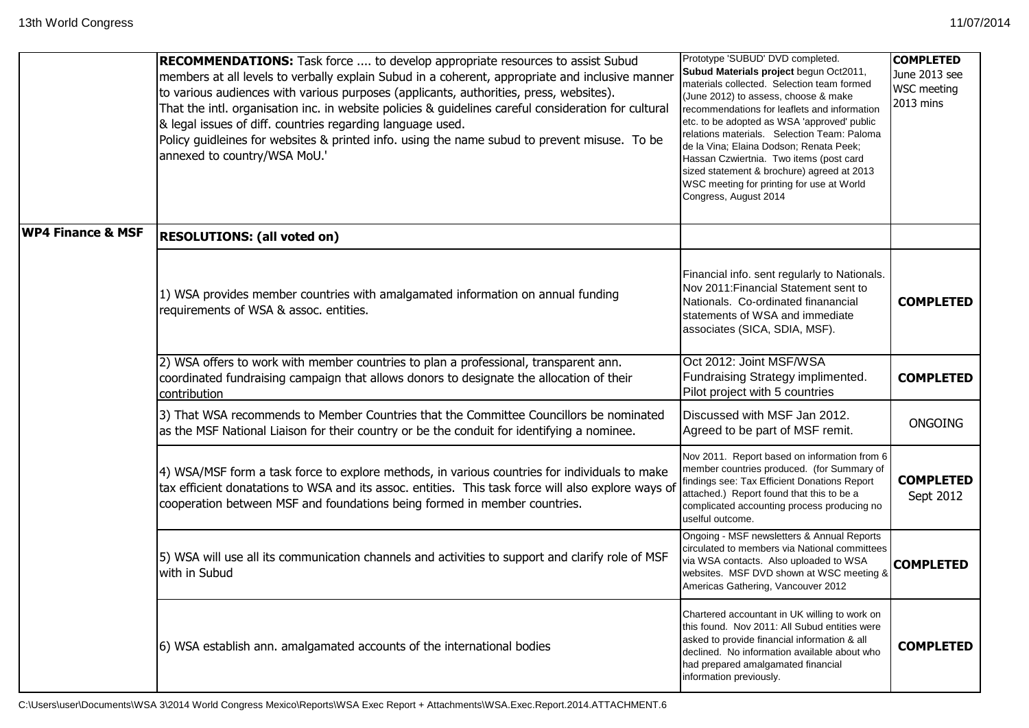|                              | <b>RECOMMENDATIONS:</b> Task force  to develop appropriate resources to assist Subud<br>members at all levels to verbally explain Subud in a coherent, appropriate and inclusive manner<br>to various audiences with various purposes (applicants, authorities, press, websites).<br>That the intl. organisation inc. in website policies & guidelines careful consideration for cultural<br>& legal issues of diff. countries regarding language used.<br>Policy guidleines for websites & printed info. using the name subud to prevent misuse. To be<br>annexed to country/WSA MoU.' | Prototype 'SUBUD' DVD completed.<br>Subud Materials project begun Oct2011,<br>materials collected. Selection team formed<br>(June 2012) to assess, choose & make<br>recommendations for leaflets and information<br>etc. to be adopted as WSA 'approved' public<br>relations materials. Selection Team: Paloma<br>de la Vina; Elaina Dodson; Renata Peek;<br>Hassan Czwiertnia. Two items (post card<br>sized statement & brochure) agreed at 2013<br>WSC meeting for printing for use at World<br>Congress, August 2014 | <b>COMPLETED</b><br>June 2013 see<br><b>WSC</b> meeting<br>2013 mins |
|------------------------------|-----------------------------------------------------------------------------------------------------------------------------------------------------------------------------------------------------------------------------------------------------------------------------------------------------------------------------------------------------------------------------------------------------------------------------------------------------------------------------------------------------------------------------------------------------------------------------------------|--------------------------------------------------------------------------------------------------------------------------------------------------------------------------------------------------------------------------------------------------------------------------------------------------------------------------------------------------------------------------------------------------------------------------------------------------------------------------------------------------------------------------|----------------------------------------------------------------------|
| <b>WP4 Finance &amp; MSF</b> | <b>RESOLUTIONS: (all voted on)</b>                                                                                                                                                                                                                                                                                                                                                                                                                                                                                                                                                      |                                                                                                                                                                                                                                                                                                                                                                                                                                                                                                                          |                                                                      |
|                              | 1) WSA provides member countries with amalgamated information on annual funding<br>requirements of WSA & assoc. entities.                                                                                                                                                                                                                                                                                                                                                                                                                                                               | Financial info. sent regularly to Nationals.<br>Nov 2011: Financial Statement sent to<br>Nationals. Co-ordinated finanancial<br>statements of WSA and immediate<br>associates (SICA, SDIA, MSF).                                                                                                                                                                                                                                                                                                                         | <b>COMPLETED</b>                                                     |
|                              | (2) WSA offers to work with member countries to plan a professional, transparent ann.<br>coordinated fundraising campaign that allows donors to designate the allocation of their<br>contribution                                                                                                                                                                                                                                                                                                                                                                                       | Oct 2012: Joint MSF/WSA<br>Fundraising Strategy implimented.<br>Pilot project with 5 countries                                                                                                                                                                                                                                                                                                                                                                                                                           | <b>COMPLETED</b>                                                     |
|                              | 3) That WSA recommends to Member Countries that the Committee Councillors be nominated<br>as the MSF National Liaison for their country or be the conduit for identifying a nominee.                                                                                                                                                                                                                                                                                                                                                                                                    | Discussed with MSF Jan 2012.<br>Agreed to be part of MSF remit.                                                                                                                                                                                                                                                                                                                                                                                                                                                          | <b>ONGOING</b>                                                       |
|                              | 4) WSA/MSF form a task force to explore methods, in various countries for individuals to make<br>tax efficient donatations to WSA and its assoc. entities. This task force will also explore ways of<br>cooperation between MSF and foundations being formed in member countries.                                                                                                                                                                                                                                                                                                       | Nov 2011. Report based on information from 6<br>member countries produced. (for Summary of<br>findings see: Tax Efficient Donations Report<br>attached.) Report found that this to be a<br>complicated accounting process producing no<br>uselful outcome.                                                                                                                                                                                                                                                               | <b>COMPLETED</b><br>Sept 2012                                        |
|                              | [5] WSA will use all its communication channels and activities to support and clarify role of MSF<br>with in Subud                                                                                                                                                                                                                                                                                                                                                                                                                                                                      | Ongoing - MSF newsletters & Annual Reports<br>circulated to members via National committees<br>via WSA contacts. Also uploaded to WSA<br>websites. MSF DVD shown at WSC meeting &<br>Americas Gathering, Vancouver 2012                                                                                                                                                                                                                                                                                                  | <b>COMPLETED</b>                                                     |
|                              | [6] WSA establish ann. amalgamated accounts of the international bodies                                                                                                                                                                                                                                                                                                                                                                                                                                                                                                                 | Chartered accountant in UK willing to work on<br>this found. Nov 2011: All Subud entities were<br>asked to provide financial information & all<br>declined. No information available about who<br>had prepared amalgamated financial<br>information previously.                                                                                                                                                                                                                                                          | <b>COMPLETED</b>                                                     |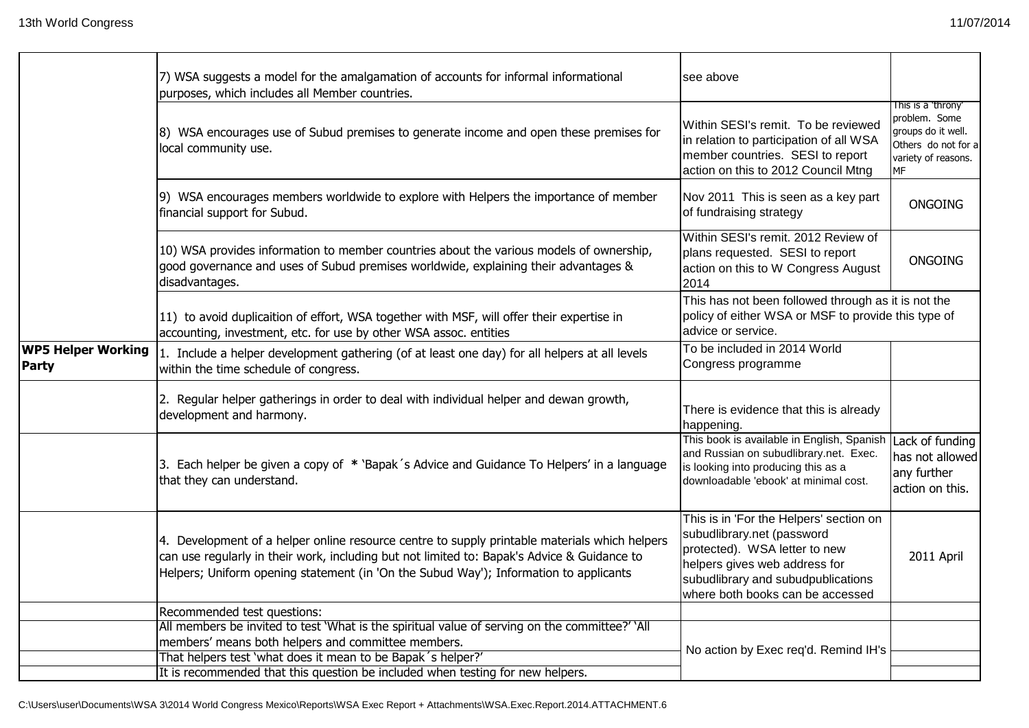|                                           | 7) WSA suggests a model for the amalgamation of accounts for informal informational<br>purposes, which includes all Member countries.                                                                                                                                                 | see above                                                                                                                                                                                                         |                                                                                                                      |
|-------------------------------------------|---------------------------------------------------------------------------------------------------------------------------------------------------------------------------------------------------------------------------------------------------------------------------------------|-------------------------------------------------------------------------------------------------------------------------------------------------------------------------------------------------------------------|----------------------------------------------------------------------------------------------------------------------|
|                                           | 8) WSA encourages use of Subud premises to generate income and open these premises for<br>local community use.                                                                                                                                                                        | Within SESI's remit. To be reviewed<br>in relation to participation of all WSA<br>member countries. SESI to report<br>action on this to 2012 Council Mtng                                                         | This is a 'throny'<br>problem. Some<br>groups do it well.<br>Others do not for a<br>variety of reasons.<br><b>MF</b> |
|                                           | 9) WSA encourages members worldwide to explore with Helpers the importance of member<br>financial support for Subud.                                                                                                                                                                  | Nov 2011 This is seen as a key part<br>of fundraising strategy                                                                                                                                                    | <b>ONGOING</b>                                                                                                       |
|                                           | 10) WSA provides information to member countries about the various models of ownership,<br>good governance and uses of Subud premises worldwide, explaining their advantages &<br>disadvantages.                                                                                      | Within SESI's remit. 2012 Review of<br>plans requested. SESI to report<br>action on this to W Congress August<br>2014                                                                                             | <b>ONGOING</b>                                                                                                       |
|                                           | 11) to avoid duplicaition of effort, WSA together with MSF, will offer their expertise in<br>accounting, investment, etc. for use by other WSA assoc. entities                                                                                                                        | This has not been followed through as it is not the<br>policy of either WSA or MSF to provide this type of<br>advice or service.                                                                                  |                                                                                                                      |
| <b>WP5 Helper Working</b><br><b>Party</b> | 1. Include a helper development gathering (of at least one day) for all helpers at all levels<br>within the time schedule of congress.                                                                                                                                                | To be included in 2014 World<br>Congress programme                                                                                                                                                                |                                                                                                                      |
|                                           | 2. Regular helper gatherings in order to deal with individual helper and dewan growth,<br>development and harmony.                                                                                                                                                                    | There is evidence that this is already<br>happening.                                                                                                                                                              |                                                                                                                      |
|                                           | 3. Each helper be given a copy of * 'Bapak's Advice and Guidance To Helpers' in a language<br>that they can understand.                                                                                                                                                               | This book is available in English, Spanish<br>and Russian on subudlibrary.net. Exec.<br>is looking into producing this as a<br>downloadable 'ebook' at minimal cost.                                              | Lack of funding<br>has not allowed<br>any further<br>action on this.                                                 |
|                                           | 4. Development of a helper online resource centre to supply printable materials which helpers<br>can use regularly in their work, including but not limited to: Bapak's Advice & Guidance to<br>Helpers; Uniform opening statement (in 'On the Subud Way'); Information to applicants | This is in 'For the Helpers' section on<br>subudlibrary.net (password<br>protected). WSA letter to new<br>helpers gives web address for<br>subudlibrary and subudpublications<br>where both books can be accessed | 2011 April                                                                                                           |
|                                           | Recommended test questions:                                                                                                                                                                                                                                                           |                                                                                                                                                                                                                   |                                                                                                                      |
|                                           | All members be invited to test 'What is the spiritual value of serving on the committee?' 'All                                                                                                                                                                                        |                                                                                                                                                                                                                   |                                                                                                                      |
|                                           | members' means both helpers and committee members.                                                                                                                                                                                                                                    | No action by Exec req'd. Remind IH's                                                                                                                                                                              |                                                                                                                      |
|                                           | That helpers test 'what does it mean to be Bapak's helper?'<br>It is recommended that this question be included when testing for new helpers.                                                                                                                                         |                                                                                                                                                                                                                   |                                                                                                                      |
|                                           |                                                                                                                                                                                                                                                                                       |                                                                                                                                                                                                                   |                                                                                                                      |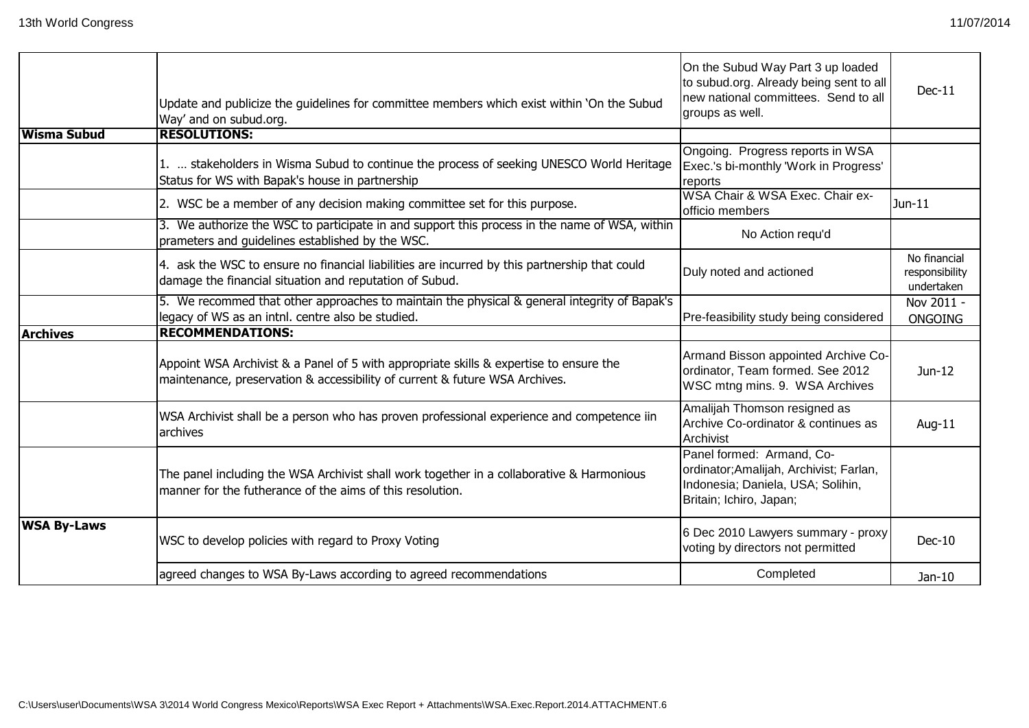|                    | Update and publicize the guidelines for committee members which exist within 'On the Subud<br>Way' and on subud.org.                                                  | On the Subud Way Part 3 up loaded<br>to subud.org. Already being sent to all<br>new national committees. Send to all<br>groups as well. | $Dec-11$                                     |
|--------------------|-----------------------------------------------------------------------------------------------------------------------------------------------------------------------|-----------------------------------------------------------------------------------------------------------------------------------------|----------------------------------------------|
| <b>Wisma Subud</b> | <b>RESOLUTIONS:</b>                                                                                                                                                   |                                                                                                                                         |                                              |
|                    | 1.  stakeholders in Wisma Subud to continue the process of seeking UNESCO World Heritage<br>Status for WS with Bapak's house in partnership                           | Ongoing. Progress reports in WSA<br>Exec.'s bi-monthly 'Work in Progress'<br>reports                                                    |                                              |
|                    | 2. WSC be a member of any decision making committee set for this purpose.                                                                                             | WSA Chair & WSA Exec. Chair ex-<br>officio members                                                                                      | $Jun-11$                                     |
|                    | 3. We authorize the WSC to participate in and support this process in the name of WSA, within<br>prameters and guidelines established by the WSC.                     | No Action requ'd                                                                                                                        |                                              |
|                    | 4. ask the WSC to ensure no financial liabilities are incurred by this partnership that could<br>damage the financial situation and reputation of Subud.              | Duly noted and actioned                                                                                                                 | No financial<br>responsibility<br>undertaken |
|                    | 5. We recommed that other approaches to maintain the physical & general integrity of Bapak's<br>legacy of WS as an intnl. centre also be studied.                     | Pre-feasibility study being considered                                                                                                  | Nov 2011 -<br><b>ONGOING</b>                 |
| <b>Archives</b>    | <b>RECOMMENDATIONS:</b>                                                                                                                                               |                                                                                                                                         |                                              |
|                    | Appoint WSA Archivist & a Panel of 5 with appropriate skills & expertise to ensure the<br>maintenance, preservation & accessibility of current & future WSA Archives. | Armand Bisson appointed Archive Co-<br>ordinator, Team formed. See 2012<br>WSC mtng mins. 9. WSA Archives                               | Jun-12                                       |
|                    | WSA Archivist shall be a person who has proven professional experience and competence iin<br>archives                                                                 | Amalijah Thomson resigned as<br>Archive Co-ordinator & continues as<br>Archivist                                                        | Aug-11                                       |
|                    | The panel including the WSA Archivist shall work together in a collaborative & Harmonious<br>manner for the futherance of the aims of this resolution.                | Panel formed: Armand, Co-<br>ordinator; Amalijah, Archivist; Farlan,<br>Indonesia; Daniela, USA; Solihin,<br>Britain; Ichiro, Japan;    |                                              |
| <b>WSA By-Laws</b> | WSC to develop policies with regard to Proxy Voting                                                                                                                   | 6 Dec 2010 Lawyers summary - proxy<br>voting by directors not permitted                                                                 | $Dec-10$                                     |
|                    | agreed changes to WSA By-Laws according to agreed recommendations                                                                                                     | Completed                                                                                                                               | Jan-10                                       |